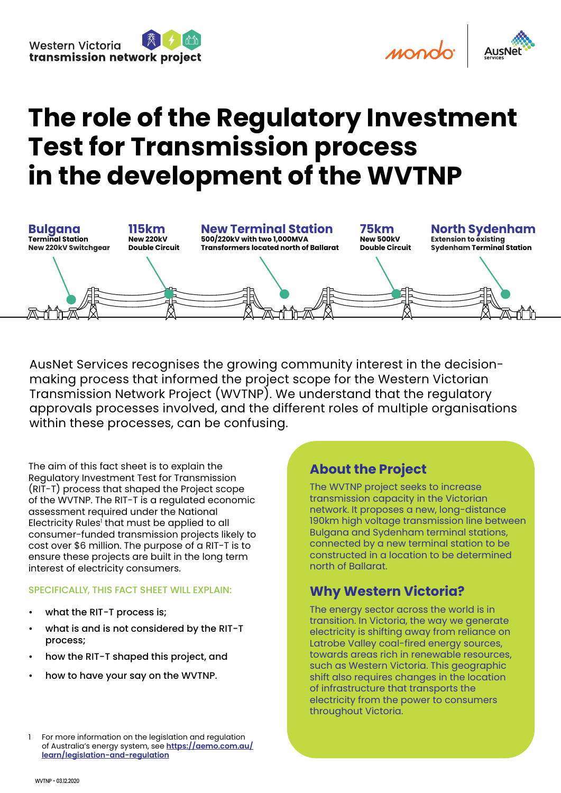mondo



# **The role of the Regulatory Investment Test for Transmission process in the development of the WVTNP**



AusNet Services recognises the growing community interest in the decisionmaking process that informed the project scope for the Western Victorian Transmission Network Project (WVTNP). We understand that the regulatory approvals processes involved, and the different roles of multiple organisations within these processes, can be confusing.

The aim of this fact sheet is to explain the Regulatory Investment Test for Transmission (RIT-T) process that shaped the Project scope of the WVTNP. The RIT-T is a regulated economic assessment required under the National Electricity Rules' that must be applied to all consumer-funded transmission projects likely to cost over \$6 million. The purpose of a RIT-T is to ensure these projects are built in the long term interest of electricity consumers.

#### SPECIFICALLY, THIS FACT SHEET WILL EXPLAIN:

- what the RIT-T process is;
- what is and is not considered by the RIT-T process;
- how the RIT-T shaped this project, and
- how to have your say on the WVTNP.

#### **About the Project**

The WVTNP project seeks to increase transmission capacity in the Victorian network. It proposes a new, long-distance 190km high voltage transmission line between Bulgana and Sydenham terminal stations, connected by a new terminal station to be constructed in a location to be determined north of Ballarat.

#### **Why Western Victoria?**

The energy sector across the world is in transition. In Victoria, the way we generate electricity is shifting away from reliance on Latrobe Valley coal-fired energy sources, towards areas rich in renewable resources, such as Western Victoria. This geographic shift also requires changes in the location of infrastructure that transports the electricity from the power to consumers throughout Victoria.

<sup>1</sup> For more information on the legislation and regulation of Australia's energy system, see **[https://aemo.com.au/](https://aemo.com.au/learn/legislation-and-regulation) [learn/legislation-and-regulation](https://aemo.com.au/learn/legislation-and-regulation)**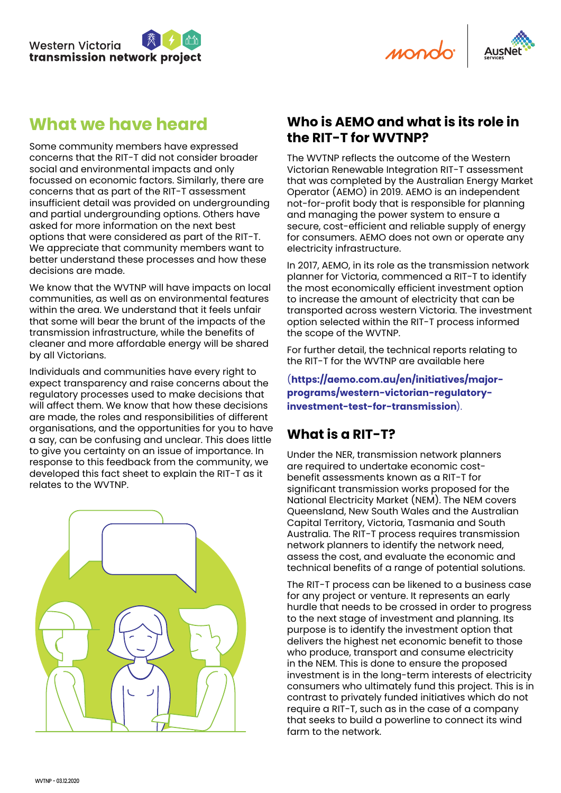

mondo



## **What we have heard**

Some community members have expressed concerns that the RIT-T did not consider broader social and environmental impacts and only focussed on economic factors. Similarly, there are concerns that as part of the RIT-T assessment insufficient detail was provided on undergrounding and partial undergrounding options. Others have asked for more information on the next best options that were considered as part of the RIT-T. We appreciate that community members want to better understand these processes and how these decisions are made.

We know that the WVTNP will have impacts on local communities, as well as on environmental features within the area. We understand that it feels unfair that some will bear the brunt of the impacts of the transmission infrastructure, while the benefits of cleaner and more affordable energy will be shared by all Victorians.

Individuals and communities have every right to expect transparency and raise concerns about the regulatory processes used to make decisions that will affect them. We know that how these decisions are made, the roles and responsibilities of different organisations, and the opportunities for you to have a say, can be confusing and unclear. This does little to give you certainty on an issue of importance. In response to this feedback from the community, we developed this fact sheet to explain the RIT-T as it relates to the WVTNP.



#### **Who is AEMO and what is its role in the RIT-T for WVTNP?**

The WVTNP reflects the outcome of the Western Victorian Renewable Integration RIT-T assessment that was completed by the Australian Energy Market Operator (AEMO) in 2019. AEMO is an independent not-for-profit body that is responsible for planning and managing the power system to ensure a secure, cost-efficient and reliable supply of energy for consumers. AEMO does not own or operate any electricity infrastructure.

In 2017, AEMO, in its role as the transmission network planner for Victoria, commenced a RIT-T to identify the most economically efficient investment option to increase the amount of electricity that can be transported across western Victoria. The investment option selected within the RIT-T process informed the scope of the WVTNP.

For further detail, the technical reports relating to the RIT-T for the WVTNP are available here

(**[https://aemo.com.au/en/initiatives/major](https://aemo.com.au/en/initiatives/major-programs/western-victorian-regulatory-investment-test-for-transmission)[programs/western-victorian-regulatory](https://aemo.com.au/en/initiatives/major-programs/western-victorian-regulatory-investment-test-for-transmission)[investment-test-for-transmission](https://aemo.com.au/en/initiatives/major-programs/western-victorian-regulatory-investment-test-for-transmission)**).

### **What is a RIT-T?**

Under the NER, transmission network planners are required to undertake economic costbenefit assessments known as a RIT-T for significant transmission works proposed for the National Electricity Market (NEM). The NEM covers Queensland, New South Wales and the Australian Capital Territory, Victoria, Tasmania and South Australia. The RIT-T process requires transmission network planners to identify the network need, assess the cost, and evaluate the economic and technical benefits of a range of potential solutions.

The RIT-T process can be likened to a business case for any project or venture. It represents an early hurdle that needs to be crossed in order to progress to the next stage of investment and planning. Its purpose is to identify the investment option that delivers the highest net economic benefit to those who produce, transport and consume electricity in the NEM. This is done to ensure the proposed investment is in the long-term interests of electricity consumers who ultimately fund this project. This is in contrast to privately funded initiatives which do not require a RIT-T, such as in the case of a company that seeks to build a powerline to connect its wind farm to the network.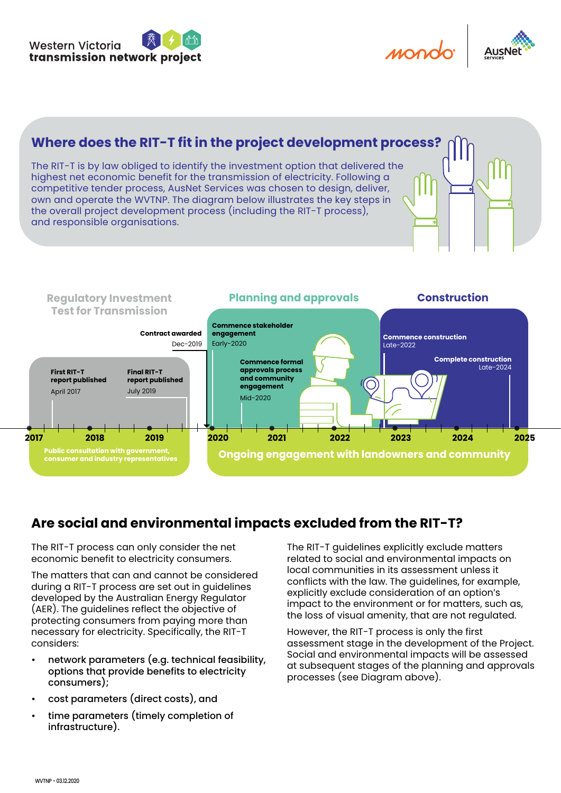



#### **Where does the RIT-T fit in the project development process?** The RIT-T is by law obliged to identify the investment option that delivered the highest net economic benefit for the transmission of electricity. Following a competitive tender process, AusNet Services was chosen to design, deliver, own and operate the WVTNP. The diagram below illustrates the key steps in the overall project development process (including the RIT-T process), and responsible organisations.



## **Are social and environmental impacts excluded from the RIT-T?**

The RIT-T process can only consider the net economic benefit to electricity consumers.

The matters that can and cannot be considered during a RIT-T process are set out in guidelines developed by the Australian Energy Regulator (AER). The guidelines reflect the objective of protecting consumers from paying more than necessary for electricity. Specifically, the RIT-T considers:

- network parameters (e.g. technical feasibility, options that provide benefits to electricity consumers);
- cost parameters (direct costs), and
- time parameters (timely completion of infrastructure).

The RIT-T guidelines explicitly exclude matters related to social and environmental impacts on local communities in its assessment unless it conflicts with the law. The guidelines, for example, explicitly exclude consideration of an option's impact to the environment or for matters, such as, the loss of visual amenity, that are not regulated.

However, the RIT-T process is only the first assessment stage in the development of the Project. Social and environmental impacts will be assessed at subsequent stages of the planning and approvals processes (see Diagram above).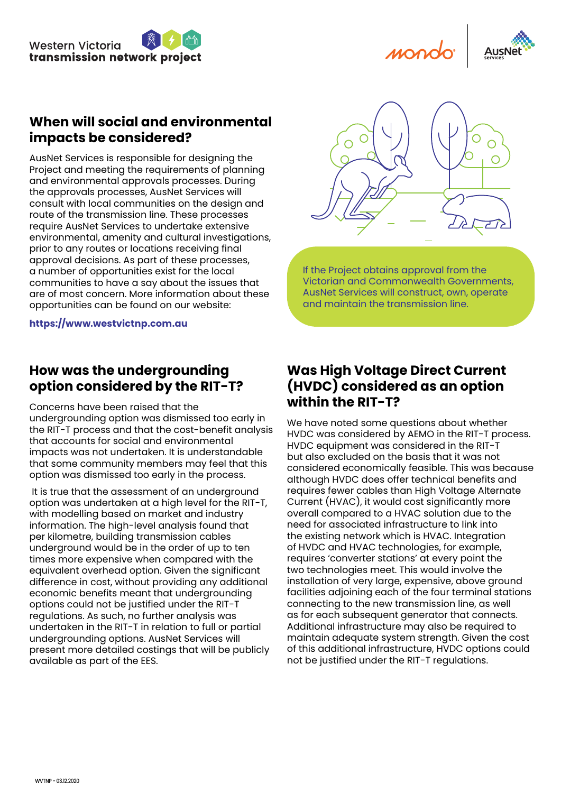

#### **When will social and environmental impacts be considered?**

AusNet Services is responsible for designing the Project and meeting the requirements of planning and environmental approvals processes. During the approvals processes, AusNet Services will consult with local communities on the design and route of the transmission line. These processes require AusNet Services to undertake extensive environmental, amenity and cultural investigations, prior to any routes or locations receiving final approval decisions. As part of these processes, a number of opportunities exist for the local communities to have a say about the issues that are of most concern. More information about these opportunities can be found on our website:

**[https://www.westvictnp.com.au](https://www.westvictnp.com.au/)**

#### **How was the undergrounding option considered by the RIT-T?**

Concerns have been raised that the undergrounding option was dismissed too early in the RIT-T process and that the cost-benefit analysis that accounts for social and environmental impacts was not undertaken. It is understandable that some community members may feel that this

option was dismissed too early in the process.

 It is true that the assessment of an underground option was undertaken at a high level for the RIT-T, with modelling based on market and industry information. The high-level analysis found that per kilometre, building transmission cables underground would be in the order of up to ten times more expensive when compared with the equivalent overhead option. Given the significant difference in cost, without providing any additional economic benefits meant that undergrounding options could not be justified under the RIT-T regulations. As such, no further analysis was undertaken in the RIT-T in relation to full or partial undergrounding options. AusNet Services will present more detailed costings that will be publicly available as part of the EES.



If the Project obtains approval from the Victorian and Commonwealth Governments, AusNet Services will construct, own, operate and maintain the transmission line.

#### **Was High Voltage Direct Current (HVDC) considered as an option within the RIT-T?**

We have noted some questions about whether HVDC was considered by AEMO in the RIT-T process. HVDC equipment was considered in the RIT-T but also excluded on the basis that it was not considered economically feasible. This was because although HVDC does offer technical benefits and requires fewer cables than High Voltage Alternate Current (HVAC), it would cost significantly more overall compared to a HVAC solution due to the need for associated infrastructure to link into the existing network which is HVAC. Integration of HVDC and HVAC technologies, for example, requires 'converter stations' at every point the two technologies meet. This would involve the installation of very large, expensive, above ground facilities adjoining each of the four terminal stations connecting to the new transmission line, as well as for each subsequent generator that connects. Additional infrastructure may also be required to maintain adequate system strength. Given the cost of this additional infrastructure, HVDC options could not be justified under the RIT-T regulations.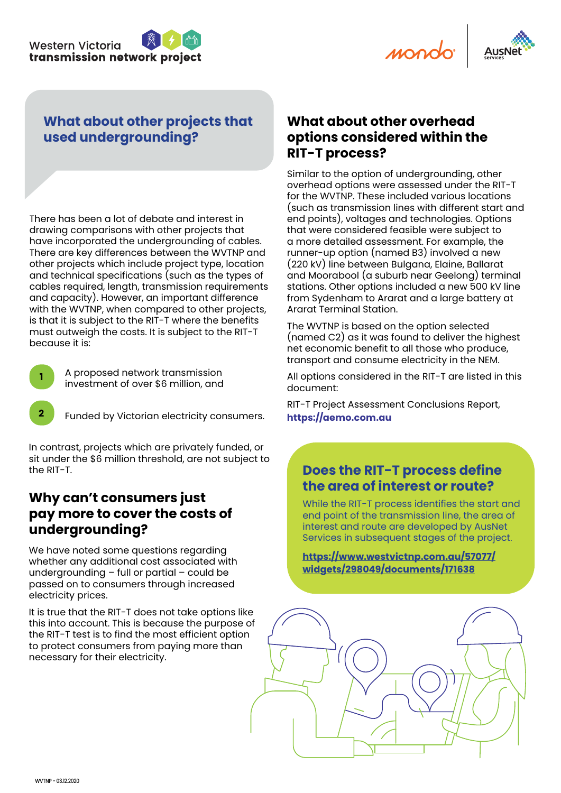



#### **What about other projects that used undergrounding?**

There has been a lot of debate and interest in drawing comparisons with other projects that have incorporated the undergrounding of cables. There are key differences between the WVTNP and other projects which include project type, location and technical specifications (such as the types of cables required, length, transmission requirements and capacity). However, an important difference with the WVTNP, when compared to other projects, is that it is subject to the RIT-T where the benefits must outweigh the costs. It is subject to the RIT-T because it is:

**<sup>1</sup>** A proposed network transmission investment of over \$6 million, and

**2** Funded by Victorian electricity consumers.

In contrast, projects which are privately funded, or sit under the \$6 million threshold, are not subject to the RIT-T.

#### **Why can't consumers just pay more to cover the costs of undergrounding?**

We have noted some questions regarding whether any additional cost associated with undergrounding – full or partial – could be passed on to consumers through increased electricity prices.

It is true that the RIT-T does not take options like this into account. This is because the purpose of the RIT-T test is to find the most efficient option to protect consumers from paying more than necessary for their electricity.

#### **What about other overhead options considered within the RIT-T process?**

Similar to the option of undergrounding, other overhead options were assessed under the RIT-T for the WVTNP. These included various locations (such as transmission lines with different start and end points), voltages and technologies. Options that were considered feasible were subject to a more detailed assessment. For example, the runner-up option (named B3) involved a new (220 kV) line between Bulgana, Elaine, Ballarat and Moorabool (a suburb near Geelong) terminal stations. Other options included a new 500 kV line from Sydenham to Ararat and a large battery at Ararat Terminal Station.

The WVTNP is based on the option selected (named C2) as it was found to deliver the highest net economic benefit to all those who produce, transport and consume electricity in the NEM.

All options considered in the RIT-T are listed in this document:

[RIT-T Project Assessment Conclusions Report,](https://www.aemo.com.au/-/media/Files/Electricity/NEM/Planning_and_Forecasting/Victorian_Transmission/2019/PACR/Western-Victoria-RIT-T-PACR.pdf)  **[https://aemo.com.au](https://www.aemo.com.au/-/media/Files/Electricity/NEM/Planning_and_Forecasting/Victorian_Transmission/2019/PACR/Western-Victoria-RIT-T-PACR.pdf)**

#### **Does the RIT-T process define the area of interest or route?**

While the RIT-T process identifies the start and end point of the transmission line, the area of interest and route are developed by AusNet Services in subsequent stages of the project.

**[https://www.westvictnp.com.au/57077/](https://www.westvictnp.com.au/57077/widgets/298049/documents/171638) [widgets/298049/documents/171638](https://www.westvictnp.com.au/57077/widgets/298049/documents/171638)**